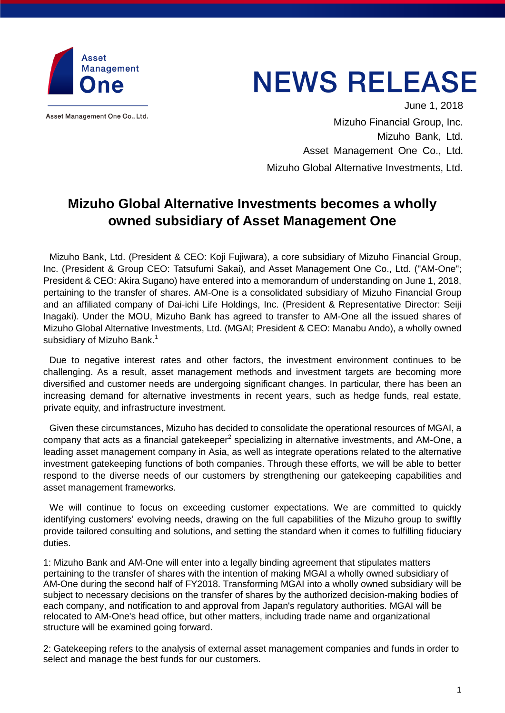

# **NEWS RELEASE**

Asset Management One Co., Ltd.

June 1, 2018 Mizuho Financial Group, Inc. Mizuho Bank, Ltd. Asset Management One Co., Ltd. Mizuho Global Alternative Investments, Ltd.

## **Mizuho Global Alternative Investments becomes a wholly owned subsidiary of Asset Management One**

Mizuho Bank, Ltd. (President & CEO: Koji Fujiwara), a core subsidiary of Mizuho Financial Group, Inc. (President & Group CEO: Tatsufumi Sakai), and Asset Management One Co., Ltd. ("AM-One"; President & CEO: Akira Sugano) have entered into a memorandum of understanding on June 1, 2018, pertaining to the transfer of shares. AM-One is a consolidated subsidiary of Mizuho Financial Group and an affiliated company of Dai-ichi Life Holdings, Inc. (President & Representative Director: Seiji Inagaki). Under the MOU, Mizuho Bank has agreed to transfer to AM-One all the issued shares of Mizuho Global Alternative Investments, Ltd. (MGAI; President & CEO: Manabu Ando), a wholly owned subsidiary of Mizuho Bank.<sup>1</sup>

Due to negative interest rates and other factors, the investment environment continues to be challenging. As a result, asset management methods and investment targets are becoming more diversified and customer needs are undergoing significant changes. In particular, there has been an increasing demand for alternative investments in recent years, such as hedge funds, real estate, private equity, and infrastructure investment.

Given these circumstances, Mizuho has decided to consolidate the operational resources of MGAI, a company that acts as a financial gatekeeper<sup>2</sup> specializing in alternative investments, and AM-One, a leading asset management company in Asia, as well as integrate operations related to the alternative investment gatekeeping functions of both companies. Through these efforts, we will be able to better respond to the diverse needs of our customers by strengthening our gatekeeping capabilities and asset management frameworks.

We will continue to focus on exceeding customer expectations. We are committed to quickly identifying customers' evolving needs, drawing on the full capabilities of the Mizuho group to swiftly provide tailored consulting and solutions, and setting the standard when it comes to fulfilling fiduciary duties.

1: Mizuho Bank and AM-One will enter into a legally binding agreement that stipulates matters pertaining to the transfer of shares with the intention of making MGAI a wholly owned subsidiary of AM-One during the second half of FY2018. Transforming MGAI into a wholly owned subsidiary will be subject to necessary decisions on the transfer of shares by the authorized decision-making bodies of each company, and notification to and approval from Japan's regulatory authorities. MGAI will be relocated to AM-One's head office, but other matters, including trade name and organizational structure will be examined going forward.

2: Gatekeeping refers to the analysis of external asset management companies and funds in order to select and manage the best funds for our customers.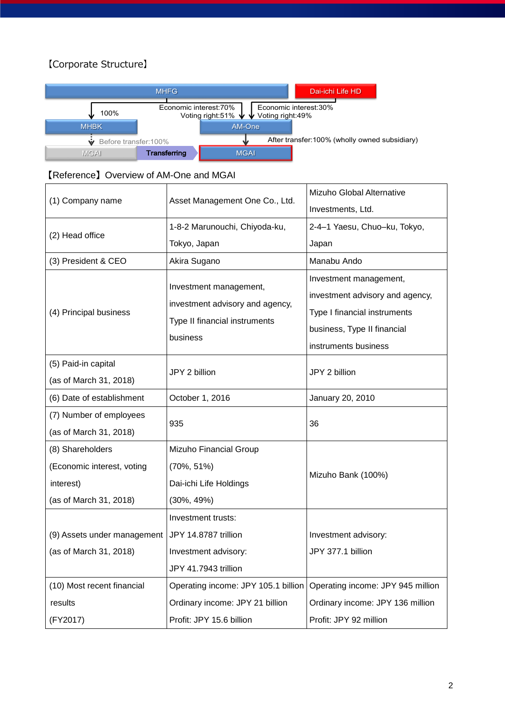### 【Corporate Structure】



#### 【Reference】Overview of AM-One and MGAI

| (1) Company name            | Asset Management One Co., Ltd.                                                                         | Mizuho Global Alternative                                                                                                                        |
|-----------------------------|--------------------------------------------------------------------------------------------------------|--------------------------------------------------------------------------------------------------------------------------------------------------|
|                             |                                                                                                        | Investments, Ltd.                                                                                                                                |
| (2) Head office             | 1-8-2 Marunouchi, Chiyoda-ku,                                                                          | 2-4-1 Yaesu, Chuo-ku, Tokyo,                                                                                                                     |
|                             | Tokyo, Japan                                                                                           | Japan                                                                                                                                            |
| (3) President & CEO         | Akira Sugano                                                                                           | Manabu Ando                                                                                                                                      |
| (4) Principal business      | Investment management,<br>investment advisory and agency,<br>Type II financial instruments<br>business | Investment management,<br>investment advisory and agency,<br>Type I financial instruments<br>business, Type II financial<br>instruments business |
| (5) Paid-in capital         | JPY 2 billion                                                                                          | JPY 2 billion                                                                                                                                    |
| (as of March 31, 2018)      |                                                                                                        |                                                                                                                                                  |
| (6) Date of establishment   | October 1, 2016                                                                                        | January 20, 2010                                                                                                                                 |
| (7) Number of employees     | 935                                                                                                    | 36                                                                                                                                               |
| (as of March 31, 2018)      |                                                                                                        |                                                                                                                                                  |
| (8) Shareholders            | Mizuho Financial Group                                                                                 | Mizuho Bank (100%)                                                                                                                               |
| (Economic interest, voting  | $(70\%, 51\%)$                                                                                         |                                                                                                                                                  |
| interest)                   | Dai-ichi Life Holdings                                                                                 |                                                                                                                                                  |
| (as of March 31, 2018)      | $(30\%, 49\%)$                                                                                         |                                                                                                                                                  |
|                             | Investment trusts:                                                                                     |                                                                                                                                                  |
| (9) Assets under management | JPY 14.8787 trillion                                                                                   | Investment advisory:                                                                                                                             |
| (as of March 31, 2018)      | Investment advisory:                                                                                   | JPY 377.1 billion                                                                                                                                |
|                             | JPY 41.7943 trillion                                                                                   |                                                                                                                                                  |
| (10) Most recent financial  | Operating income: JPY 105.1 billion                                                                    | Operating income: JPY 945 million                                                                                                                |
| results                     | Ordinary income: JPY 21 billion                                                                        | Ordinary income: JPY 136 million                                                                                                                 |
| (FY2017)                    | Profit: JPY 15.6 billion                                                                               | Profit: JPY 92 million                                                                                                                           |